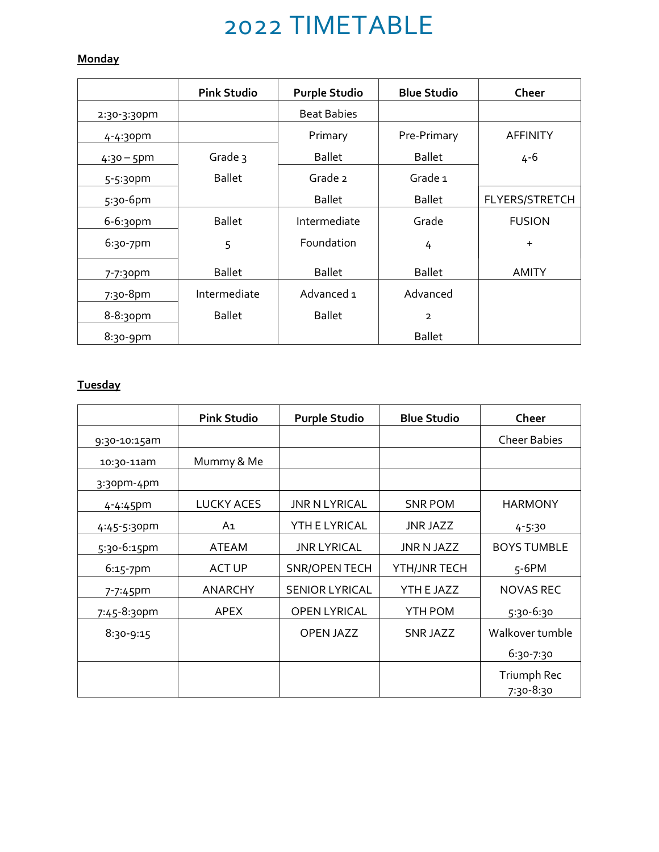# 2022 TIMETABLE

## **Monday**

|               | <b>Pink Studio</b> | <b>Purple Studio</b> | <b>Blue Studio</b> | Cheer           |
|---------------|--------------------|----------------------|--------------------|-----------------|
| 2:30-3:30pm   |                    | <b>Beat Babies</b>   |                    |                 |
| 4-4:30pm      |                    | Primary              | Pre-Primary        | <b>AFFINITY</b> |
| $4:30 - 5$ pm | Grade 3            | <b>Ballet</b>        | <b>Ballet</b>      | $4 - 6$         |
| $5 - 5:30$ pm | <b>Ballet</b>      | Grade 2              | Grade 1            |                 |
| 5:30-6pm      |                    | <b>Ballet</b>        | <b>Ballet</b>      | FLYERS/STRETCH  |
| 6-6:30pm      | <b>Ballet</b>      | Intermediate         | Grade              | <b>FUSION</b>   |
| 6:30-7pm      | 5                  | Foundation           | 4                  | $+$             |
| 7-7:30pm      | <b>Ballet</b>      | <b>Ballet</b>        | <b>Ballet</b>      | <b>AMITY</b>    |
| 7:30-8pm      | Intermediate       | Advanced 1           | Advanced           |                 |
| $8 - 8:30$ pm | <b>Ballet</b>      | <b>Ballet</b>        | 2                  |                 |
| $8:30-9$ pm   |                    |                      | <b>Ballet</b>      |                 |

## **Tuesday**

|               | <b>Pink Studio</b> | <b>Purple Studio</b>  | <b>Blue Studio</b> | Cheer                    |
|---------------|--------------------|-----------------------|--------------------|--------------------------|
| 9:30-10:15am  |                    |                       |                    | <b>Cheer Babies</b>      |
| 10:30-11am    | Mummy & Me         |                       |                    |                          |
| $3:3$ opm-4pm |                    |                       |                    |                          |
| 4-4:45pm      | <b>LUCKY ACES</b>  | <b>JNR N LYRICAL</b>  | <b>SNR POM</b>     | <b>HARMONY</b>           |
| 4:45-5:30pm   | A1                 | YTH E LYRICAL         | <b>JNR JAZZ</b>    | $4 - 5.30$               |
| 5:30-6:15pm   | ATEAM              | <b>JNR LYRICAL</b>    | JNR N JAZZ         | <b>BOYS TUMBLE</b>       |
| $6:15 - 7$ pm | <b>ACT UP</b>      | <b>SNR/OPEN TECH</b>  | YTH/JNR TECH       | $5-6$ PM                 |
| 7-7:45pm      | <b>ANARCHY</b>     | <b>SENIOR LYRICAL</b> | YTH E JAZZ         | <b>NOVAS REC</b>         |
| 7:45-8:30pm   | APEX               | <b>OPEN LYRICAL</b>   | YTH POM            | $5:30-6:30$              |
| $8:30-9:15$   |                    | <b>OPEN JAZZ</b>      | SNR JAZZ           | Walkover tumble          |
|               |                    |                       |                    | 6:30-7:30                |
|               |                    |                       |                    | Triumph Rec<br>7:30-8:30 |